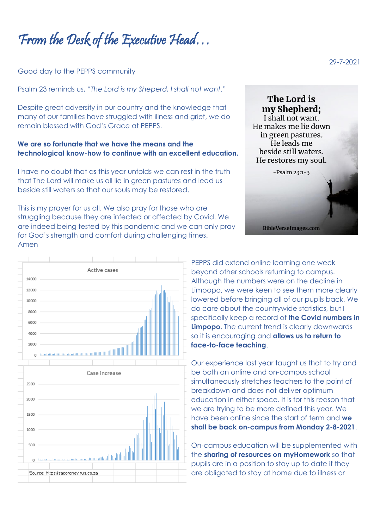From the Desk of the Executive Head…

## Good day to the PEPPS community

Psalm 23 reminds us, "*The Lord is my Sheperd, I shall not want*."

Despite great adversity in our country and the knowledge that many of our families have struggled with illness and grief, we do remain blessed with God's Grace at PEPPS.

## **We are so fortunate that we have the means and the technological know-how to continue with an excellent education.**

I have no doubt that as this year unfolds we can rest in the truth that The Lord will make us all lie in green pastures and lead us beside still waters so that our souls may be restored.

This is my prayer for us all. We also pray for those who are struggling because they are infected or affected by Covid. We are indeed being tested by this pandemic and we can only pray for God's strength and comfort during challenging times. Amen





PEPPS did extend online learning one week beyond other schools returning to campus. Although the numbers were on the decline in Limpopo, we were keen to see them more clearly lowered before bringing all of our pupils back. We do care about the countrywide statistics, but I specifically keep a record of **the Covid numbers in Limpopo**. The current trend is clearly downwards so it is encouraging and **allows us to return to face-to-face teaching**.

Our experience last year taught us that to try and be both an online and on-campus school simultaneously stretches teachers to the point of breakdown and does not deliver optimum education in either space. It is for this reason that we are trying to be more defined this year. We have been online since the start of term and **we shall be back on-campus from Monday 2-8-2021**.

On-campus education will be supplemented with the **sharing of resources on myHomework** so that pupils are in a position to stay up to date if they are obligated to stay at home due to illness or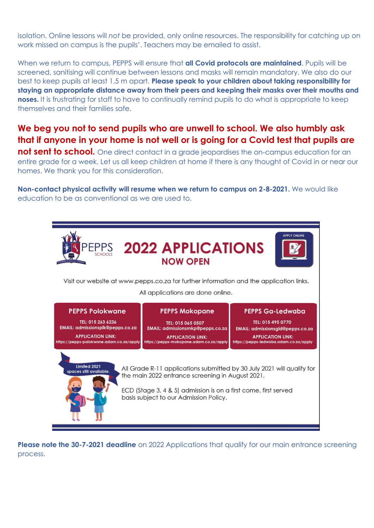isolation. Online lessons will *not* be provided, only online resources. The responsibility for catching up on work missed on campus is the pupils'. Teachers may be emailed to assist.

When we return to campus, PEPPS will ensure that **all Covid protocols are maintained**. Pupils will be screened, sanitising will continue between lessons and masks will remain mandatory. We also do our best to keep pupils at least 1,5 m apart. **Please speak to your children about taking responsibility for staying an appropriate distance away from their peers and keeping their masks over their mouths and noses.** It is frustrating for staff to have to continually remind pupils to do what is appropriate to keep themselves and their families safe.

## **We beg you not to send pupils who are unwell to school. We also humbly ask that if anyone in your home is not well or is going for a Covid test that pupils are**

**not sent to school.** One direct contact in a grade jeopardises the on-campus education for an entire grade for a week. Let us all keep children at home if there is any thought of Covid in or near our homes. We thank you for this consideration.

**Non-contact physical activity will resume when we return to campus on 2-8-2021.** We would like education to be as conventional as we are used to.



**Please note the 30-7-2021 deadline** on 2022 Applications that qualify for our main entrance screening process.